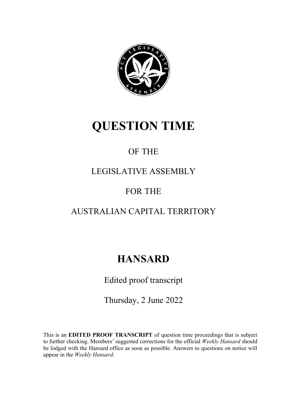

# **QUESTION TIME**

### OF THE

### LEGISLATIVE ASSEMBLY

### FOR THE

### AUSTRALIAN CAPITAL TERRITORY

## **HANSARD**

Edited proof transcript

Thursday, 2 June 2022

This is an **EDITED PROOF TRANSCRIPT** of question time proceedings that is subject to further checking. Members' suggested corrections for the official *Weekly Hansard* should be lodged with the Hansard office as soon as possible. Answers to questions on notice will appear in the *Weekly Han*s*ard*.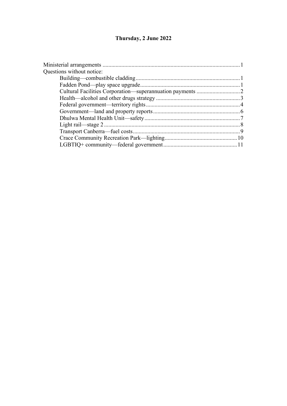#### **Thursday, 2 June 2022**

| Questions without notice: |  |
|---------------------------|--|
|                           |  |
|                           |  |
|                           |  |
|                           |  |
|                           |  |
|                           |  |
|                           |  |
|                           |  |
|                           |  |
|                           |  |
|                           |  |
|                           |  |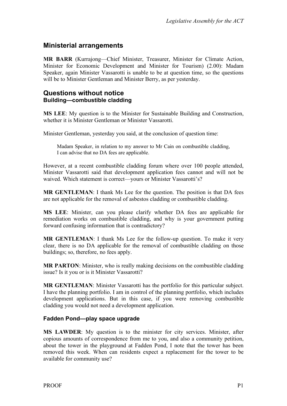#### <span id="page-2-0"></span>**Ministerial arrangements**

**MR BARR** (Kurrajong—Chief Minister, Treasurer, Minister for Climate Action, Minister for Economic Development and Minister for Tourism) (2.00): Madam Speaker, again Minister Vassarotti is unable to be at question time, so the questions will be to Minister Gentleman and Minister Berry, as per yesterday.

#### <span id="page-2-2"></span><span id="page-2-1"></span>**Questions without notice Building—combustible cladding**

**MS LEE**: My question is to the Minister for Sustainable Building and Construction, whether it is Minister Gentleman or Minister Vassarotti.

Minister Gentleman, yesterday you said, at the conclusion of question time:

Madam Speaker, in relation to my answer to Mr Cain on combustible cladding, I can advise that no DA fees are applicable.

However, at a recent combustible cladding forum where over 100 people attended, Minister Vassarotti said that development application fees cannot and will not be waived. Which statement is correct—yours or Minister Vassarotti's?

**MR GENTLEMAN**: I thank Ms Lee for the question. The position is that DA fees are not applicable for the removal of asbestos cladding or combustible cladding.

**MS LEE**: Minister, can you please clarify whether DA fees are applicable for remediation works on combustible cladding, and why is your government putting forward confusing information that is contradictory?

**MR GENTLEMAN**: I thank Ms Lee for the follow-up question. To make it very clear, there is no DA applicable for the removal of combustible cladding on those buildings; so, therefore, no fees apply.

**MR PARTON**: Minister, who is really making decisions on the combustible cladding issue? Is it you or is it Minister Vassarotti?

**MR GENTLEMAN**: Minister Vassarotti has the portfolio for this particular subject. I have the planning portfolio. I am in control of the planning portfolio, which includes development applications. But in this case, if you were removing combustible cladding you would not need a development application.

#### <span id="page-2-3"></span>**Fadden Pond—play space upgrade**

**MS LAWDER**: My question is to the minister for city services. Minister, after copious amounts of correspondence from me to you, and also a community petition, about the tower in the playground at Fadden Pond, I note that the tower has been removed this week. When can residents expect a replacement for the tower to be available for community use?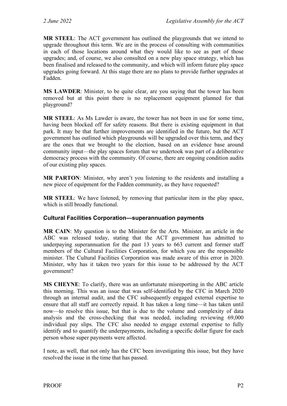**MR STEEL**: The ACT government has outlined the playgrounds that we intend to upgrade throughout this term. We are in the process of consulting with communities in each of those locations around what they would like to see as part of those upgrades; and, of course, we also consulted on a new play space strategy, which has been finalised and released to the community, and which will inform future play space upgrades going forward. At this stage there are no plans to provide further upgrades at Fadden.

**MS LAWDER**: Minister, to be quite clear, are you saying that the tower has been removed but at this point there is no replacement equipment planned for that playground?

**MR STEEL**: As Ms Lawder is aware, the tower has not been in use for some time, having been blocked off for safety reasons. But there is existing equipment in that park. It may be that further improvements are identified in the future, but the ACT government has outlined which playgrounds will be upgraded over this term, and they are the ones that we brought to the election, based on an evidence base around community input—the play spaces forum that we undertook was part of a deliberative democracy process with the community. Of course, there are ongoing condition audits of our existing play spaces.

**MR PARTON**: Minister, why aren't you listening to the residents and installing a new piece of equipment for the Fadden community, as they have requested?

**MR STEEL**: We have listened, by removing that particular item in the play space, which is still broadly functional.

#### <span id="page-3-0"></span>**Cultural Facilities Corporation—superannuation payments**

**MR CAIN**: My question is to the Minister for the Arts. Minister, an article in the ABC was released today, stating that the ACT government has admitted to underpaying superannuation for the past 13 years to 663 current and former staff members of the Cultural Facilities Corporation, for which you are the responsible minister. The Cultural Facilities Corporation was made aware of this error in 2020. Minister, why has it taken two years for this issue to be addressed by the ACT government?

**MS CHEYNE**: To clarify, there was an unfortunate misreporting in the ABC article this morning. This was an issue that was self-identified by the CFC in March 2020 through an internal audit, and the CFC subsequently engaged external expertise to ensure that all staff are correctly repaid. It has taken a long time—it has taken until now—to resolve this issue, but that is due to the volume and complexity of data analysis and the cross-checking that was needed, including reviewing 69,000 individual pay slips. The CFC also needed to engage external expertise to fully identify and to quantify the underpayments, including a specific dollar figure for each person whose super payments were affected.

I note, as well, that not only has the CFC been investigating this issue, but they have resolved the issue in the time that has passed.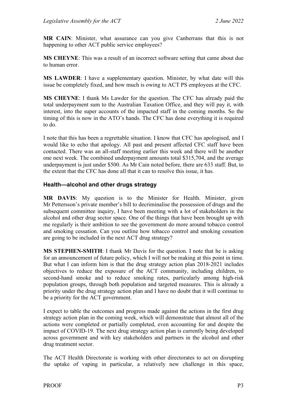**MR CAIN**: Minister, what assurance can you give Canberrans that this is not happening to other ACT public service employees?

**MS CHEYNE**: This was a result of an incorrect software setting that came about due to human error.

**MS LAWDER**: I have a supplementary question. Minister, by what date will this issue be completely fixed, and how much is owing to ACT PS employees at the CFC.

**MS CHEYNE**: I thank Ms Lawder for the question. The CFC has already paid the total underpayment sum to the Australian Taxation Office, and they will pay it, with interest, into the super accounts of the impacted staff in the coming months. So the timing of this is now in the ATO's hands. The CFC has done everything it is required to do.

I note that this has been a regrettable situation. I know that CFC has apologised, and I would like to echo that apology. All past and present affected CFC staff have been contacted. There was an all-staff meeting earlier this week and there will be another one next week. The combined underpayment amounts total \$315,704, and the average underpayment is just under \$500. As Mr Cain noted before, there are 633 staff. But, to the extent that the CFC has done all that it can to resolve this issue, it has.

#### <span id="page-4-0"></span>**Health—alcohol and other drugs strategy**

**MR DAVIS**: My question is to the Minister for Health. Minister, given Mr Pettersson's private member's bill to decriminalise the possession of drugs and the subsequent committee inquiry, I have been meeting with a lot of stakeholders in the alcohol and other drug sector space. One of the things that have been brought up with me regularly is their ambition to see the government do more around tobacco control and smoking cessation. Can you outline how tobacco control and smoking cessation are going to be included in the next ACT drug strategy?

**MS STEPHEN-SMITH**: I thank Mr Davis for the question. I note that he is asking for an announcement of future policy, which I will not be making at this point in time. But what I can inform him is that the drug strategy action plan 2018-2021 includes objectives to reduce the exposure of the ACT community, including children, to second-hand smoke and to reduce smoking rates, particularly among high-risk population groups, through both population and targeted measures. This is already a priority under the drug strategy action plan and I have no doubt that it will continue to be a priority for the ACT government.

I expect to table the outcomes and progress made against the actions in the first drug strategy action plan in the coming week, which will demonstrate that almost all of the actions were completed or partially completed, even accounting for and despite the impact of COVID-19. The next drug strategy action plan is currently being developed across government and with key stakeholders and partners in the alcohol and other drug treatment sector.

The ACT Health Directorate is working with other directorates to act on disrupting the uptake of vaping in particular, a relatively new challenge in this space,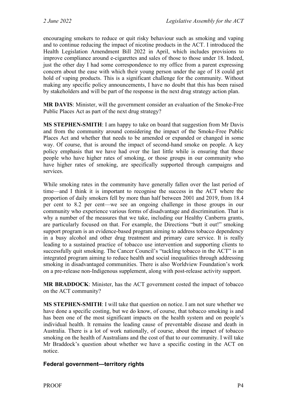encouraging smokers to reduce or quit risky behaviour such as smoking and vaping and to continue reducing the impact of nicotine products in the ACT. I introduced the Health Legislation Amendment Bill 2022 in April, which includes provisions to improve compliance around e-cigarettes and sales of those to those under 18. Indeed, just the other day I had some correspondence to my office from a parent expressing concern about the ease with which their young person under the age of 18 could get hold of vaping products. This is a significant challenge for the community. Without making any specific policy announcements, I have no doubt that this has been raised by stakeholders and will be part of the response in the next drug strategy action plan.

**MR DAVIS**: Minister, will the government consider an evaluation of the Smoke-Free Public Places Act as part of the next drug strategy?

**MS STEPHEN-SMITH**: I am happy to take on board that suggestion from Mr Davis and from the community around considering the impact of the Smoke-Free Public Places Act and whether that needs to be amended or expanded or changed in some way. Of course, that is around the impact of second-hand smoke on people. A key policy emphasis that we have had over the last little while is ensuring that those people who have higher rates of smoking, or those groups in our community who have higher rates of smoking, are specifically supported through campaigns and services.

While smoking rates in the community have generally fallen over the last period of time—and I think it is important to recognise the success in the ACT where the proportion of daily smokers fell by more than half between 2001 and 2019, from 18.4 per cent to 8.2 per cent—we see an ongoing challenge in those groups in our community who experience various forms of disadvantage and discrimination. That is why a number of the measures that we take, including our Healthy Canberra grants, are particularly focused on that. For example, the Directions "butt it out!" smoking support program is an evidence-based program aiming to address tobacco dependency in a busy alcohol and other drug treatment and primary care service. It is really leading to a sustained practice of tobacco use intervention and supporting clients to successfully quit smoking. The Cancer Council's "tackling tobacco in the ACT" is an integrated program aiming to reduce health and social inequalities through addressing smoking in disadvantaged communities. There is also Worldview Foundation's work on a pre-release non-Indigenous supplement, along with post-release activity support.

**MR BRADDOCK**: Minister, has the ACT government costed the impact of tobacco on the ACT community?

**MS STEPHEN-SMITH**: I will take that question on notice. I am not sure whether we have done a specific costing, but we do know, of course, that tobacco smoking is and has been one of the most significant impacts on the health system and on people's individual health. It remains the leading cause of preventable disease and death in Australia. There is a lot of work nationally, of course, about the impact of tobacco smoking on the health of Australians and the cost of that to our community. I will take Mr Braddock's question about whether we have a specific costing in the ACT on notice.

#### <span id="page-5-0"></span>**Federal government—territory rights**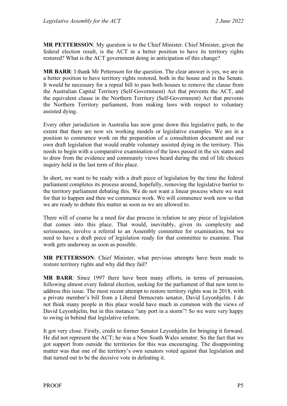**MR PETTERSSON**: My question is to the Chief Minister. Chief Minister, given the federal election result, is the ACT in a better position to have its territory rights restored? What is the ACT government doing in anticipation of this change?

**MR BARR**: I thank Mr Pettersson for the question. The clear answer is yes, we are in a better position to have territory rights restored, both in the house and in the Senate. It would be necessary for a repeal bill to pass both houses to remove the clause from the Australian Capital Territory (Self-Government) Act that prevents the ACT, and the equivalent clause in the Northern Territory (Self-Government) Act that prevents the Northern Territory parliament, from making laws with respect to voluntary assisted dying.

Every other jurisdiction in Australia has now gone down this legislative path, to the extent that there are now six working models or legislative examples. We are in a position to commence work on the preparation of a consultation document and our own draft legislation that would enable voluntary assisted dying in the territory. This needs to begin with a comparative examination of the laws passed in the six states and to draw from the evidence and community views heard during the end of life choices inquiry held in the last term of this place.

In short, we want to be ready with a draft piece of legislation by the time the federal parliament completes its process around, hopefully, removing the legislative barrier to the territory parliament debating this. We do not want a linear process where we wait for that to happen and then we commence work. We will commence work now so that we are ready to debate this matter as soon as we are allowed to.

There will of course be a need for due process in relation to any piece of legislation that comes into this place. That would, inevitably, given its complexity and seriousness, involve a referral to an Assembly committee for examination, but we need to have a draft piece of legislation ready for that committee to examine. That work gets underway as soon as possible.

**MR PETTERSSON**: Chief Minister, what previous attempts have been made to restore territory rights and why did they fail?

**MR BARR**: Since 1997 there have been many efforts, in terms of persuasion, following almost every federal election, seeking for the parliament of that new term to address this issue. The most recent attempt to restore territory rights was in 2018, with a private member's bill from a Liberal Democrats senator, David Leyonhjelm. I do not think many people in this place would have much in common with the views of David Leyonhjelm, but in this instance "any port in a storm"! So we were very happy to swing in behind that legislative reform.

It got very close. Firstly, credit to former Senator Leyonhjelm for bringing it forward. He did not represent the ACT; he was a New South Wales senator. So the fact that we got support from outside the territories for this was encouraging. The disappointing matter was that one of the territory's own senators voted against that legislation and that turned out to be the decisive vote in defeating it.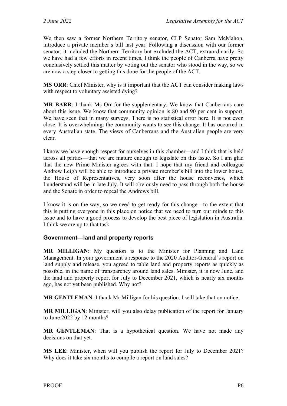We then saw a former Northern Territory senator, CLP Senator Sam McMahon, introduce a private member's bill last year. Following a discussion with our former senator, it included the Northern Territory but excluded the ACT, extraordinarily. So we have had a few efforts in recent times. I think the people of Canberra have pretty conclusively settled this matter by voting out the senator who stood in the way, so we are now a step closer to getting this done for the people of the ACT.

**MS ORR**: Chief Minister, why is it important that the ACT can consider making laws with respect to voluntary assisted dying?

**MR BARR**: I thank Ms Orr for the supplementary. We know that Canberrans care about this issue. We know that community opinion is 80 and 90 per cent in support. We have seen that in many surveys. There is no statistical error here. It is not even close. It is overwhelming: the community wants to see this change. It has occurred in every Australian state. The views of Canberrans and the Australian people are very clear.

I know we have enough respect for ourselves in this chamber—and I think that is held across all parties—that we are mature enough to legislate on this issue. So I am glad that the new Prime Minister agrees with that. I hope that my friend and colleague Andrew Leigh will be able to introduce a private member's bill into the lower house, the House of Representatives, very soon after the house reconvenes, which I understand will be in late July. It will obviously need to pass through both the house and the Senate in order to repeal the Andrews bill.

I know it is on the way, so we need to get ready for this change—to the extent that this is putting everyone in this place on notice that we need to turn our minds to this issue and to have a good process to develop the best piece of legislation in Australia. I think we are up to that task.

#### <span id="page-7-0"></span>**Government—land and property reports**

**MR MILLIGAN**: My question is to the Minister for Planning and Land Management. In your government's response to the 2020 Auditor-General's report on land supply and release, you agreed to table land and property reports as quickly as possible, in the name of transparency around land sales. Minister, it is now June, and the land and property report for July to December 2021, which is nearly six months ago, has not yet been published. Why not?

**MR GENTLEMAN**: I thank Mr Milligan for his question. I will take that on notice.

**MR MILLIGAN**: Minister, will you also delay publication of the report for January to June 2022 by 12 months?

**MR GENTLEMAN**: That is a hypothetical question. We have not made any decisions on that yet.

**MS LEE**: Minister, when will you publish the report for July to December 2021? Why does it take six months to compile a report on land sales?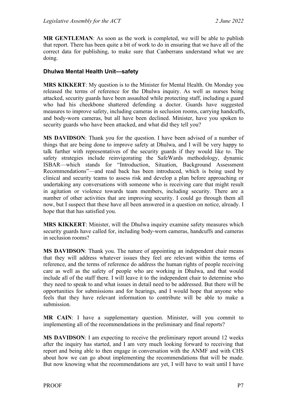**MR GENTLEMAN**: As soon as the work is completed, we will be able to publish that report. There has been quite a bit of work to do in ensuring that we have all of the correct data for publishing, to make sure that Canberrans understand what we are doing.

#### <span id="page-8-0"></span>**Dhulwa Mental Health Unit—safety**

**MRS KIKKERT**: My question is to the Minister for Mental Health. On Monday you released the terms of reference for the Dhulwa inquiry. As well as nurses being attacked, security guards have been assaulted while protecting staff, including a guard who had his cheekbone shattered defending a doctor. Guards have suggested measures to improve safety, including cameras in seclusion rooms, carrying handcuffs, and body-worn cameras, but all have been declined. Minister, have you spoken to security guards who have been attacked, and what did they tell you?

**MS DAVIDSON**: Thank you for the question. I have been advised of a number of things that are being done to improve safety at Dhulwa, and I will be very happy to talk further with representatives of the security guards if they would like to. The safety strategies include reinvigorating the SafeWards methodology, dynamic ISBAR—which stands for "Introduction, Situation, Background Assessment Recommendations"—and read back has been introduced, which is being used by clinical and security teams to assess risk and develop a plan before approaching or undertaking any conversations with someone who is receiving care that might result in agitation or violence towards team members, including security. There are a number of other activities that are improving security. I could go through them all now, but I suspect that these have all been answered in a question on notice, already. I hope that that has satisfied you.

**MRS KIKKERT**: Minister, will the Dhulwa inquiry examine safety measures which security guards have called for, including body-worn cameras, handcuffs and cameras in seclusion rooms?

**MS DAVIDSON**: Thank you. The nature of appointing an independent chair means that they will address whatever issues they feel are relevant within the terms of reference, and the terms of reference do address the human rights of people receiving care as well as the safety of people who are working in Dhulwa, and that would include all of the staff there. I will leave it to the independent chair to determine who they need to speak to and what issues in detail need to be addressed. But there will be opportunities for submissions and for hearings, and I would hope that anyone who feels that they have relevant information to contribute will be able to make a submission.

**MR CAIN**: I have a supplementary question. Minister, will you commit to implementing all of the recommendations in the preliminary and final reports?

**MS DAVIDSON**: I am expecting to receive the preliminary report around 12 weeks after the inquiry has started, and I am very much looking forward to receiving that report and being able to then engage in conversation with the ANMF and with CHS about how we can go about implementing the recommendations that will be made. But now knowing what the recommendations are yet, I will have to wait until I have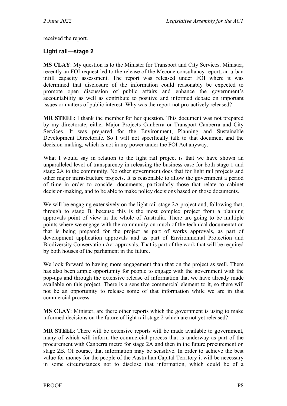received the report.

#### <span id="page-9-0"></span>**Light rail—stage 2**

**MS CLAY**: My question is to the Minister for Transport and City Services. Minister, recently an FOI request led to the release of the Mecone consultancy report, an urban infill capacity assessment. The report was released under FOI where it was determined that disclosure of the information could reasonably be expected to promote open discussion of public affairs and enhance the government's accountability as well as contribute to positive and informed debate on important issues or matters of public interest. Why was the report not pro-actively released?

**MR STEEL**: I thank the member for her question. This document was not prepared by my directorate, either Major Projects Canberra or Transport Canberra and City Services. It was prepared for the Environment, Planning and Sustainable Development Directorate. So I will not specifically talk to that document and the decision-making, which is not in my power under the FOI Act anyway.

What I would say in relation to the light rail project is that we have shown an unparalleled level of transparency in releasing the business case for both stage 1 and stage 2A to the community. No other government does that for light rail projects and other major infrastructure projects. It is reasonable to allow the government a period of time in order to consider documents, particularly those that relate to cabinet decision-making, and to be able to make policy decisions based on those documents.

We will be engaging extensively on the light rail stage 2A project and, following that, through to stage B, because this is the most complex project from a planning approvals point of view in the whole of Australia. There are going to be multiple points where we engage with the community on much of the technical documentation that is being prepared for the project as part of works approvals, as part of development application approvals and as part of Environmental Protection and Biodiversity Conservation Act approvals. That is part of the work that will be required by both houses of the parliament in the future.

We look forward to having more engagement than that on the project as well. There has also been ample opportunity for people to engage with the government with the pop-ups and through the extensive release of information that we have already made available on this project. There is a sensitive commercial element to it, so there will not be an opportunity to release some of that information while we are in that commercial process.

**MS CLAY**: Minister, are there other reports which the government is using to make informed decisions on the future of light rail stage 2 which are not yet released?

**MR STEEL**: There will be extensive reports will be made available to government, many of which will inform the commercial process that is underway as part of the procurement with Canberra metro for stage 2A and then in the future procurement on stage 2B. Of course, that information may be sensitive. In order to achieve the best value for money for the people of the Australian Capital Territory it will be necessary in some circumstances not to disclose that information, which could be of a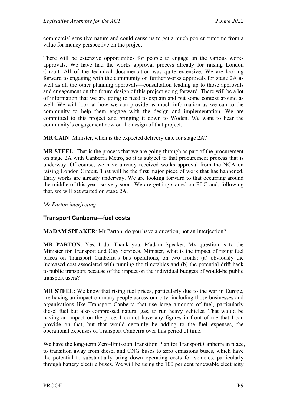commercial sensitive nature and could cause us to get a much poorer outcome from a value for money perspective on the project.

There will be extensive opportunities for people to engage on the various works approvals. We have had the works approval process already for raising London Circuit. All of the technical documentation was quite extensive. We are looking forward to engaging with the community on further works approvals for stage 2A as well as all the other planning approvals—consultation leading up to those approvals and engagement on the future design of this project going forward. There will be a lot of information that we are going to need to explain and put some context around as well. We will look at how we can provide as much information as we can to the community to help them engage with the design and implementation. We are committed to this project and bringing it down to Woden. We want to hear the community's engagement now on the design of that project.

**MR CAIN**: Minister, when is the expected delivery date for stage 2A?

**MR STEEL**: That is the process that we are going through as part of the procurement on stage 2A with Canberra Metro, so it is subject to that procurement process that is underway. Of course, we have already received works approval from the NCA on raising London Circuit. That will be the first major piece of work that has happened. Early works are already underway. We are looking forward to that occurring around the middle of this year, so very soon. We are getting started on RLC and, following that, we will get started on stage 2A.

*Mr Parton interjecting—*

#### <span id="page-10-0"></span>**Transport Canberra—fuel costs**

**MADAM SPEAKER**: Mr Parton, do you have a question, not an interjection?

**MR PARTON**: Yes, I do. Thank you, Madam Speaker. My question is to the Minister for Transport and City Services. Minister, what is the impact of rising fuel prices on Transport Canberra's bus operations, on two fronts: (a) obviously the increased cost associated with running the timetables and (b) the potential drift back to public transport because of the impact on the individual budgets of would-be public transport users?

**MR STEEL**: We know that rising fuel prices, particularly due to the war in Europe, are having an impact on many people across our city, including those businesses and organisations like Transport Canberra that use large amounts of fuel, particularly diesel fuel but also compressed natural gas, to run heavy vehicles. That would be having an impact on the price. I do not have any figures in front of me that I can provide on that, but that would certainly be adding to the fuel expenses, the operational expenses of Transport Canberra over this period of time.

We have the long-term Zero-Emission Transition Plan for Transport Canberra in place, to transition away from diesel and CNG buses to zero emissions buses, which have the potential to substantially bring down operating costs for vehicles, particularly through battery electric buses. We will be using the 100 per cent renewable electricity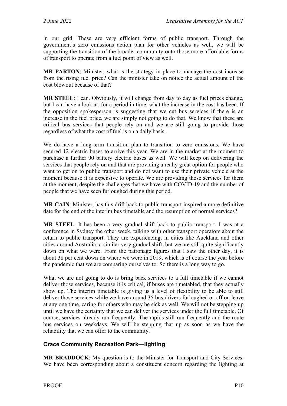in our grid. These are very efficient forms of public transport. Through the government's zero emissions action plan for other vehicles as well, we will be supporting the transition of the broader community onto those more affordable forms of transport to operate from a fuel point of view as well.

**MR PARTON**: Minister, what is the strategy in place to manage the cost increase from the rising fuel price? Can the minister take on notice the actual amount of the cost blowout because of that?

**MR STEEL**: I can. Obviously, it will change from day to day as fuel prices change, but I can have a look at, for a period in time, what the increase in the cost has been. If the opposition spokesperson is suggesting that we cut bus services if there is an increase in the fuel price, we are simply not going to do that. We know that these are critical bus services that people rely on and we are still going to provide those regardless of what the cost of fuel is on a daily basis.

We do have a long-term transition plan to transition to zero emissions. We have secured 12 electric buses to arrive this year. We are in the market at the moment to purchase a further 90 battery electric buses as well. We will keep on delivering the services that people rely on and that are providing a really great option for people who want to get on to public transport and do not want to use their private vehicle at the moment because it is expensive to operate. We are providing those services for them at the moment, despite the challenges that we have with COVID-19 and the number of people that we have seen furloughed during this period.

**MR CAIN**: Minister, has this drift back to public transport inspired a more definitive date for the end of the interim bus timetable and the resumption of normal services?

**MR STEEL**: It has been a very gradual shift back to public transport. I was at a conference in Sydney the other week, talking with other transport operators about the return to public transport. They are experiencing, in cities like Auckland and other cities around Australia, a similar very gradual shift, but we are still quite significantly down on what we were. From the patronage figures that I saw the other day, it is about 38 per cent down on where we were in 2019, which is of course the year before the pandemic that we are comparing ourselves to. So there is a long way to go.

What we are not going to do is bring back services to a full timetable if we cannot deliver those services, because it is critical, if buses are timetabled, that they actually show up. The interim timetable is giving us a level of flexibility to be able to still deliver those services while we have around 35 bus drivers furloughed or off on leave at any one time, caring for others who may be sick as well. We will not be stepping up until we have the certainty that we can deliver the services under the full timetable. Of course, services already run frequently. The rapids still run frequently and the route bus services on weekdays. We will be stepping that up as soon as we have the reliability that we can offer to the community.

#### <span id="page-11-0"></span>**Crace Community Recreation Park—lighting**

**MR BRADDOCK**: My question is to the Minister for Transport and City Services. We have been corresponding about a constituent concern regarding the lighting at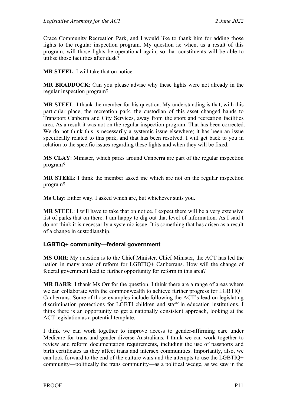Crace Community Recreation Park, and I would like to thank him for adding those lights to the regular inspection program. My question is: when, as a result of this program, will those lights be operational again, so that constituents will be able to utilise those facilities after dusk?

**MR STEEL**: I will take that on notice.

**MR BRADDOCK**: Can you please advise why these lights were not already in the regular inspection program?

**MR STEEL**: I thank the member for his question. My understanding is that, with this particular place, the recreation park, the custodian of this asset changed hands to Transport Canberra and City Services, away from the sport and recreation facilities area. As a result it was not on the regular inspection program. That has been corrected. We do not think this is necessarily a systemic issue elsewhere; it has been an issue specifically related to this park, and that has been resolved. I will get back to you in relation to the specific issues regarding these lights and when they will be fixed.

**MS CLAY**: Minister, which parks around Canberra are part of the regular inspection program?

**MR STEEL**: I think the member asked me which are not on the regular inspection program?

**Ms Clay**: Either way. I asked which are, but whichever suits you.

**MR STEEL**: I will have to take that on notice. I expect there will be a very extensive list of parks that on there. I am happy to dig out that level of information. As I said I do not think it is necessarily a systemic issue. It is something that has arisen as a result of a change in custodianship.

#### <span id="page-12-0"></span>**LGBTIQ+ community—federal government**

**MS ORR**: My question is to the Chief Minister. Chief Minister, the ACT has led the nation in many areas of reform for LGBTIQ+ Canberrans. How will the change of federal government lead to further opportunity for reform in this area?

**MR BARR**: I thank Ms Orr for the question. I think there are a range of areas where we can collaborate with the commonwealth to achieve further progress for LGBTIQ+ Canberrans. Some of those examples include following the ACT's lead on legislating discrimination protections for LGBTI children and staff in education institutions. I think there is an opportunity to get a nationally consistent approach, looking at the ACT legislation as a potential template.

I think we can work together to improve access to gender-affirming care under Medicare for trans and gender-diverse Australians. I think we can work together to review and reform documentation requirements, including the use of passports and birth certificates as they affect trans and intersex communities. Importantly, also, we can look forward to the end of the culture wars and the attempts to use the LGBTIQ+ community—politically the trans community—as a political wedge, as we saw in the